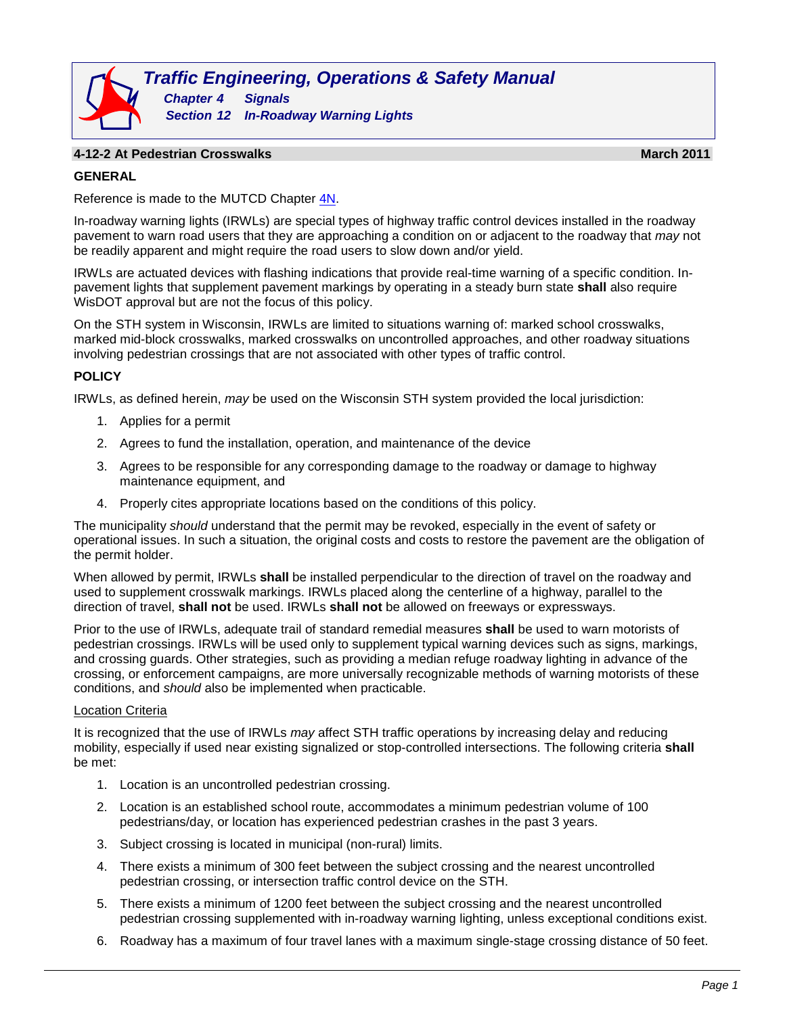

### **4-12-2 At Pedestrian Crosswalks March 2011**

#### **GENERAL**

Reference is made to the MUTCD Chapter [4N.](http://wisconsindot.gov/dtsdManuals/traffic-ops/manuals-and-standards/mutcd-ch04.pdf)

In-roadway warning lights (IRWLs) are special types of highway traffic control devices installed in the roadway pavement to warn road users that they are approaching a condition on or adjacent to the roadway that *may* not be readily apparent and might require the road users to slow down and/or yield.

IRWLs are actuated devices with flashing indications that provide real-time warning of a specific condition. Inpavement lights that supplement pavement markings by operating in a steady burn state **shall** also require WisDOT approval but are not the focus of this policy.

On the STH system in Wisconsin, IRWLs are limited to situations warning of: marked school crosswalks, marked mid-block crosswalks, marked crosswalks on uncontrolled approaches, and other roadway situations involving pedestrian crossings that are not associated with other types of traffic control.

#### **POLICY**

IRWLs, as defined herein, *may* be used on the Wisconsin STH system provided the local jurisdiction:

- 1. Applies for a permit
- 2. Agrees to fund the installation, operation, and maintenance of the device
- 3. Agrees to be responsible for any corresponding damage to the roadway or damage to highway maintenance equipment, and
- 4. Properly cites appropriate locations based on the conditions of this policy.

The municipality *should* understand that the permit may be revoked, especially in the event of safety or operational issues. In such a situation, the original costs and costs to restore the pavement are the obligation of the permit holder.

When allowed by permit, IRWLs **shall** be installed perpendicular to the direction of travel on the roadway and used to supplement crosswalk markings. IRWLs placed along the centerline of a highway, parallel to the direction of travel, **shall not** be used. IRWLs **shall not** be allowed on freeways or expressways.

Prior to the use of IRWLs, adequate trail of standard remedial measures **shall** be used to warn motorists of pedestrian crossings. IRWLs will be used only to supplement typical warning devices such as signs, markings, and crossing guards. Other strategies, such as providing a median refuge roadway lighting in advance of the crossing, or enforcement campaigns, are more universally recognizable methods of warning motorists of these conditions, and *should* also be implemented when practicable.

## Location Criteria

It is recognized that the use of IRWLs *may* affect STH traffic operations by increasing delay and reducing mobility, especially if used near existing signalized or stop-controlled intersections. The following criteria **shall** be met:

- 1. Location is an uncontrolled pedestrian crossing.
- 2. Location is an established school route, accommodates a minimum pedestrian volume of 100 pedestrians/day, or location has experienced pedestrian crashes in the past 3 years.
- 3. Subject crossing is located in municipal (non-rural) limits.
- 4. There exists a minimum of 300 feet between the subject crossing and the nearest uncontrolled pedestrian crossing, or intersection traffic control device on the STH.
- 5. There exists a minimum of 1200 feet between the subject crossing and the nearest uncontrolled pedestrian crossing supplemented with in-roadway warning lighting, unless exceptional conditions exist.
- 6. Roadway has a maximum of four travel lanes with a maximum single-stage crossing distance of 50 feet.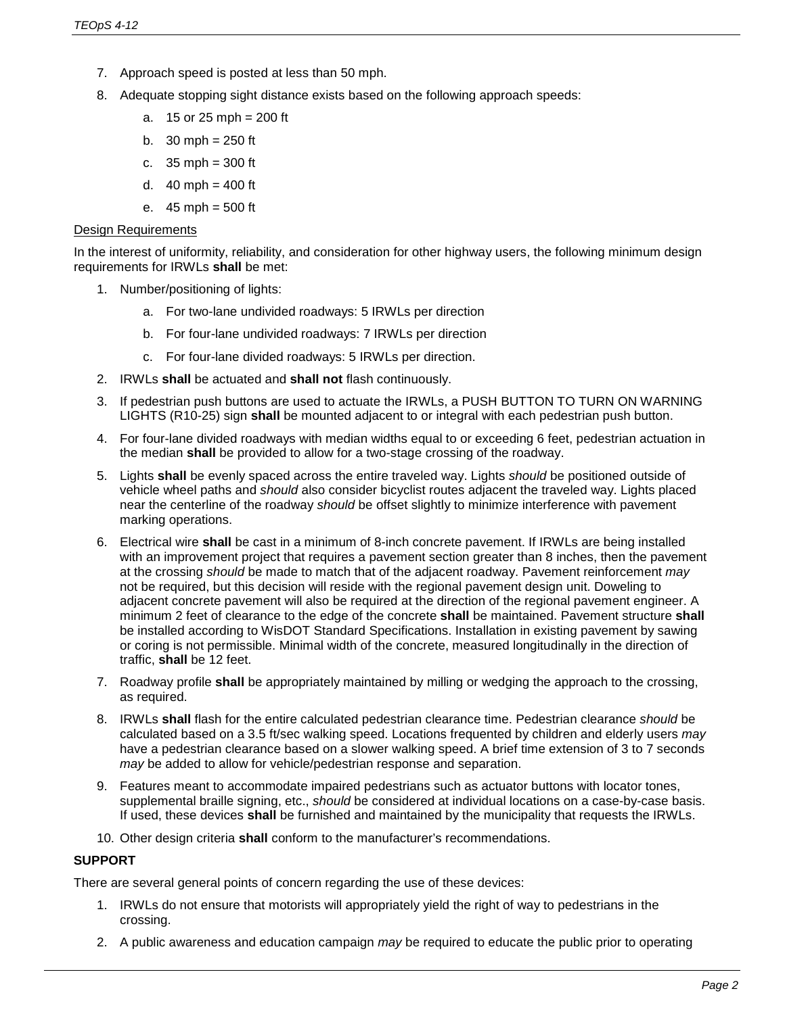- 7. Approach speed is posted at less than 50 mph.
- 8. Adequate stopping sight distance exists based on the following approach speeds:
	- a.  $15$  or 25 mph = 200 ft
	- b.  $30 \text{ mph} = 250 \text{ ft}$
	- c. 35 mph = 300 ft
	- d.  $40$  mph =  $400$  ft
	- e.  $45 \text{ mph} = 500 \text{ ft}$

### Design Requirements

In the interest of uniformity, reliability, and consideration for other highway users, the following minimum design requirements for IRWLs **shall** be met:

- 1. Number/positioning of lights:
	- a. For two-lane undivided roadways: 5 IRWLs per direction
	- b. For four-lane undivided roadways: 7 IRWLs per direction
	- c. For four-lane divided roadways: 5 IRWLs per direction.
- 2. IRWLs **shall** be actuated and **shall not** flash continuously.
- 3. If pedestrian push buttons are used to actuate the IRWLs, a PUSH BUTTON TO TURN ON WARNING LIGHTS (R10-25) sign **shall** be mounted adjacent to or integral with each pedestrian push button.
- 4. For four-lane divided roadways with median widths equal to or exceeding 6 feet, pedestrian actuation in the median **shall** be provided to allow for a two-stage crossing of the roadway.
- 5. Lights **shall** be evenly spaced across the entire traveled way. Lights *should* be positioned outside of vehicle wheel paths and *should* also consider bicyclist routes adjacent the traveled way. Lights placed near the centerline of the roadway *should* be offset slightly to minimize interference with pavement marking operations.
- 6. Electrical wire **shall** be cast in a minimum of 8-inch concrete pavement. If IRWLs are being installed with an improvement project that requires a pavement section greater than 8 inches, then the pavement at the crossing *should* be made to match that of the adjacent roadway. Pavement reinforcement *may* not be required, but this decision will reside with the regional pavement design unit. Doweling to adjacent concrete pavement will also be required at the direction of the regional pavement engineer. A minimum 2 feet of clearance to the edge of the concrete **shall** be maintained. Pavement structure **shall** be installed according to WisDOT Standard Specifications. Installation in existing pavement by sawing or coring is not permissible. Minimal width of the concrete, measured longitudinally in the direction of traffic, **shall** be 12 feet.
- 7. Roadway profile **shall** be appropriately maintained by milling or wedging the approach to the crossing, as required.
- 8. IRWLs **shall** flash for the entire calculated pedestrian clearance time. Pedestrian clearance *should* be calculated based on a 3.5 ft/sec walking speed. Locations frequented by children and elderly users *may* have a pedestrian clearance based on a slower walking speed. A brief time extension of 3 to 7 seconds *may* be added to allow for vehicle/pedestrian response and separation.
- 9. Features meant to accommodate impaired pedestrians such as actuator buttons with locator tones, supplemental braille signing, etc., *should* be considered at individual locations on a case-by-case basis. If used, these devices **shall** be furnished and maintained by the municipality that requests the IRWLs.
- 10. Other design criteria **shall** conform to the manufacturer's recommendations.

# **SUPPORT**

There are several general points of concern regarding the use of these devices:

- 1. IRWLs do not ensure that motorists will appropriately yield the right of way to pedestrians in the crossing.
- 2. A public awareness and education campaign *may* be required to educate the public prior to operating